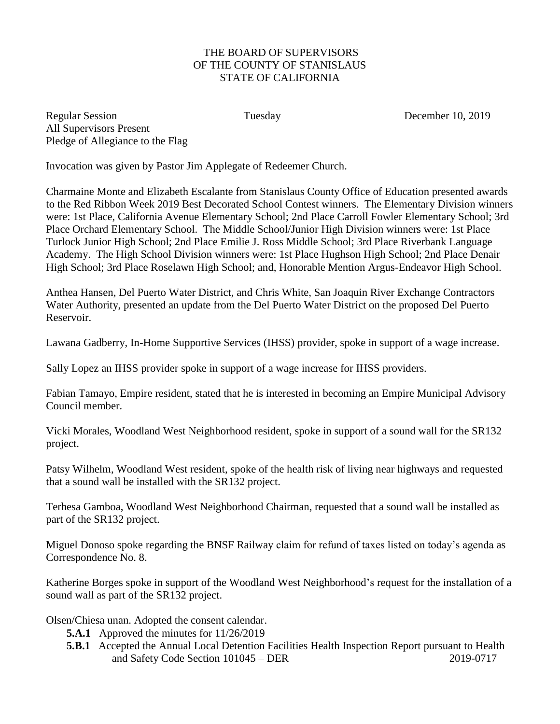## THE BOARD OF SUPERVISORS OF THE COUNTY OF STANISLAUS STATE OF CALIFORNIA

Regular Session Tuesday Tuesday December 10, 2019 All Supervisors Present Pledge of Allegiance to the Flag

Invocation was given by Pastor Jim Applegate of Redeemer Church.

Charmaine Monte and Elizabeth Escalante from Stanislaus County Office of Education presented awards to the Red Ribbon Week 2019 Best Decorated School Contest winners. The Elementary Division winners were: 1st Place, California Avenue Elementary School; 2nd Place Carroll Fowler Elementary School; 3rd Place Orchard Elementary School. The Middle School/Junior High Division winners were: 1st Place Turlock Junior High School; 2nd Place Emilie J. Ross Middle School; 3rd Place Riverbank Language Academy. The High School Division winners were: 1st Place Hughson High School; 2nd Place Denair High School; 3rd Place Roselawn High School; and, Honorable Mention Argus-Endeavor High School.

Anthea Hansen, Del Puerto Water District, and Chris White, San Joaquin River Exchange Contractors Water Authority, presented an update from the Del Puerto Water District on the proposed Del Puerto Reservoir.

Lawana Gadberry, In-Home Supportive Services (IHSS) provider, spoke in support of a wage increase.

Sally Lopez an IHSS provider spoke in support of a wage increase for IHSS providers.

Fabian Tamayo, Empire resident, stated that he is interested in becoming an Empire Municipal Advisory Council member.

Vicki Morales, Woodland West Neighborhood resident, spoke in support of a sound wall for the SR132 project.

Patsy Wilhelm, Woodland West resident, spoke of the health risk of living near highways and requested that a sound wall be installed with the SR132 project.

Terhesa Gamboa, Woodland West Neighborhood Chairman, requested that a sound wall be installed as part of the SR132 project.

Miguel Donoso spoke regarding the BNSF Railway claim for refund of taxes listed on today's agenda as Correspondence No. 8.

Katherine Borges spoke in support of the Woodland West Neighborhood's request for the installation of a sound wall as part of the SR132 project.

Olsen/Chiesa unan. Adopted the consent calendar.

- **5.A.1** Approved the minutes for 11/26/2019
- **5.B.1** Accepted the Annual Local Detention Facilities Health Inspection Report pursuant to Health and Safety Code Section 101045 – DER 2019-0717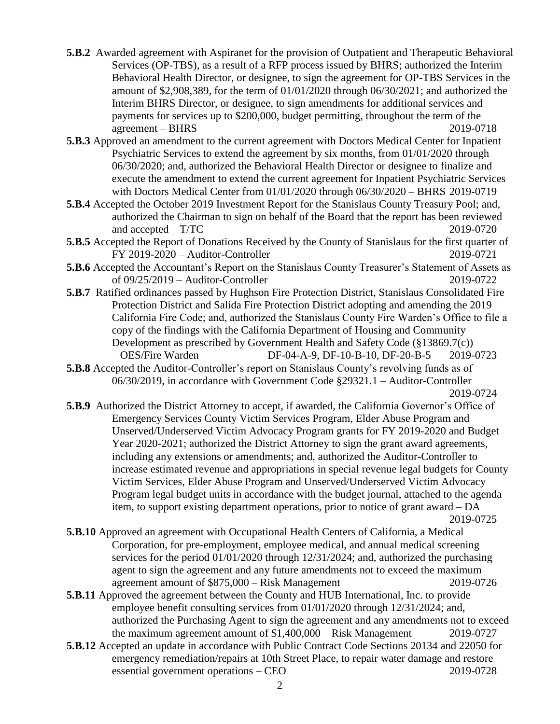- **5.B.2** Awarded agreement with Aspiranet for the provision of Outpatient and Therapeutic Behavioral Services (OP-TBS), as a result of a RFP process issued by BHRS; authorized the Interim Behavioral Health Director, or designee, to sign the agreement for OP-TBS Services in the amount of \$2,908,389, for the term of 01/01/2020 through 06/30/2021; and authorized the Interim BHRS Director, or designee, to sign amendments for additional services and payments for services up to \$200,000, budget permitting, throughout the term of the agreement – BHRS 2019-0718
- **5.B.3** Approved an amendment to the current agreement with Doctors Medical Center for Inpatient Psychiatric Services to extend the agreement by six months, from 01/01/2020 through 06/30/2020; and, authorized the Behavioral Health Director or designee to finalize and execute the amendment to extend the current agreement for Inpatient Psychiatric Services with Doctors Medical Center from 01/01/2020 through 06/30/2020 – BHRS 2019-0719
- **5.B.4** Accepted the October 2019 Investment Report for the Stanislaus County Treasury Pool; and, authorized the Chairman to sign on behalf of the Board that the report has been reviewed and accepted – T/TC 2019-0720
- **5.B.5** Accepted the Report of Donations Received by the County of Stanislaus for the first quarter of FY 2019-2020 – Auditor-Controller 2019-0721
- **5.B.6** Accepted the Accountant's Report on the Stanislaus County Treasurer's Statement of Assets as of 09/25/2019 – Auditor-Controller 2019-0722
- **5.B.7** Ratified ordinances passed by Hughson Fire Protection District, Stanislaus Consolidated Fire Protection District and Salida Fire Protection District adopting and amending the 2019 California Fire Code; and, authorized the Stanislaus County Fire Warden's Office to file a copy of the findings with the California Department of Housing and Community Development as prescribed by Government Health and Safety Code (§13869.7(c)) – OES/Fire Warden DF-04-A-9, DF-10-B-10, DF-20-B-5 2019-0723
- **5.B.8** Accepted the Auditor-Controller's report on Stanislaus County's revolving funds as of 06/30/2019, in accordance with Government Code §29321.1 – Auditor-Controller 2019-0724
- **5.B.9** Authorized the District Attorney to accept, if awarded, the California Governor's Office of Emergency Services County Victim Services Program, Elder Abuse Program and Unserved/Underserved Victim Advocacy Program grants for FY 2019-2020 and Budget Year 2020-2021; authorized the District Attorney to sign the grant award agreements, including any extensions or amendments; and, authorized the Auditor-Controller to increase estimated revenue and appropriations in special revenue legal budgets for County Victim Services, Elder Abuse Program and Unserved/Underserved Victim Advocacy Program legal budget units in accordance with the budget journal, attached to the agenda item, to support existing department operations, prior to notice of grant award – DA 2019-0725
- **5.B.10** Approved an agreement with Occupational Health Centers of California, a Medical Corporation, for pre-employment, employee medical, and annual medical screening services for the period 01/01/2020 through 12/31/2024; and, authorized the purchasing agent to sign the agreement and any future amendments not to exceed the maximum agreement amount of \$875,000 – Risk Management 2019-0726
- **5.B.11** Approved the agreement between the County and HUB International, Inc. to provide employee benefit consulting services from 01/01/2020 through 12/31/2024; and, authorized the Purchasing Agent to sign the agreement and any amendments not to exceed the maximum agreement amount of \$1,400,000 – Risk Management 2019-0727
- **5.B.12** Accepted an update in accordance with Public Contract Code Sections 20134 and 22050 for emergency remediation/repairs at 10th Street Place, to repair water damage and restore essential government operations – CEO 2019-0728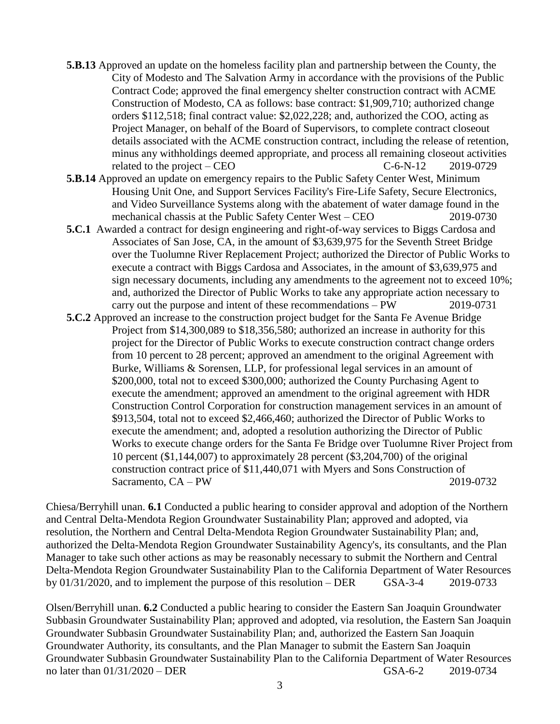- **5.B.13** Approved an update on the homeless facility plan and partnership between the County, the City of Modesto and The Salvation Army in accordance with the provisions of the Public Contract Code; approved the final emergency shelter construction contract with ACME Construction of Modesto, CA as follows: base contract: \$1,909,710; authorized change orders \$112,518; final contract value: \$2,022,228; and, authorized the COO, acting as Project Manager, on behalf of the Board of Supervisors, to complete contract closeout details associated with the ACME construction contract, including the release of retention, minus any withholdings deemed appropriate, and process all remaining closeout activities related to the project – CEO  $C=6-N-12$  2019-0729
- **5.B.14** Approved an update on emergency repairs to the Public Safety Center West, Minimum Housing Unit One, and Support Services Facility's Fire-Life Safety, Secure Electronics, and Video Surveillance Systems along with the abatement of water damage found in the mechanical chassis at the Public Safety Center West – CEO 2019-0730
- **5.C.1** Awarded a contract for design engineering and right-of-way services to Biggs Cardosa and Associates of San Jose, CA, in the amount of \$3,639,975 for the Seventh Street Bridge over the Tuolumne River Replacement Project; authorized the Director of Public Works to execute a contract with Biggs Cardosa and Associates, in the amount of \$3,639,975 and sign necessary documents, including any amendments to the agreement not to exceed 10%; and, authorized the Director of Public Works to take any appropriate action necessary to carry out the purpose and intent of these recommendations – PW 2019-0731
- **5.C.2** Approved an increase to the construction project budget for the Santa Fe Avenue Bridge Project from \$14,300,089 to \$18,356,580; authorized an increase in authority for this project for the Director of Public Works to execute construction contract change orders from 10 percent to 28 percent; approved an amendment to the original Agreement with Burke, Williams & Sorensen, LLP, for professional legal services in an amount of \$200,000, total not to exceed \$300,000; authorized the County Purchasing Agent to execute the amendment; approved an amendment to the original agreement with HDR Construction Control Corporation for construction management services in an amount of \$913,504, total not to exceed \$2,466,460; authorized the Director of Public Works to execute the amendment; and, adopted a resolution authorizing the Director of Public Works to execute change orders for the Santa Fe Bridge over Tuolumne River Project from 10 percent (\$1,144,007) to approximately 28 percent (\$3,204,700) of the original construction contract price of \$11,440,071 with Myers and Sons Construction of Sacramento, CA – PW 2019-0732

Chiesa/Berryhill unan. **6.1** Conducted a public hearing to consider approval and adoption of the Northern and Central Delta-Mendota Region Groundwater Sustainability Plan; approved and adopted, via resolution, the Northern and Central Delta-Mendota Region Groundwater Sustainability Plan; and, authorized the Delta-Mendota Region Groundwater Sustainability Agency's, its consultants, and the Plan Manager to take such other actions as may be reasonably necessary to submit the Northern and Central Delta-Mendota Region Groundwater Sustainability Plan to the California Department of Water Resources by 01/31/2020, and to implement the purpose of this resolution – DER GSA-3-4 2019-0733

Olsen/Berryhill unan. **6.2** Conducted a public hearing to consider the Eastern San Joaquin Groundwater Subbasin Groundwater Sustainability Plan; approved and adopted, via resolution, the Eastern San Joaquin Groundwater Subbasin Groundwater Sustainability Plan; and, authorized the Eastern San Joaquin Groundwater Authority, its consultants, and the Plan Manager to submit the Eastern San Joaquin Groundwater Subbasin Groundwater Sustainability Plan to the California Department of Water Resources no later than  $01/31/2020 - DER$  GSA-6-2 2019-0734